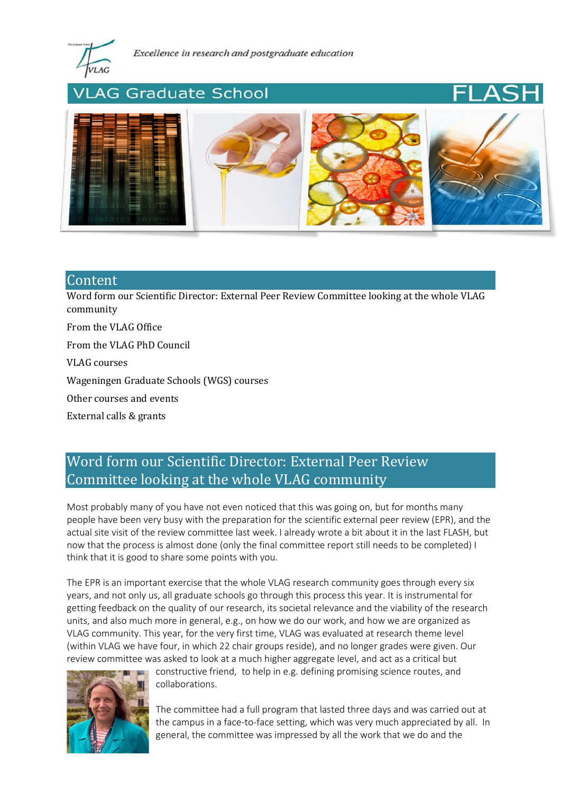

# **AG Graduate School**



## **Content**

[Word form our Scientific Director: External Peer Review Committee looking at the whole VLAG](#page-0-0)  [community](#page-0-0)

[From the VLAG Office](#page-1-0)

[From the VLAG PhD Council](#page-2-0)

[VLAG courses](#page-3-0)

[Wageningen Graduate Schools \(WGS\) courses](#page-3-1)

[Other courses and events](#page-4-0)

[External calls & grants](#page-4-1)

## <span id="page-0-0"></span>Word form our Scientific Director: External Peer Review Committee looking at the whole VLAG community

Most probably many of you have not even noticed that this was going on, but for months many people have been very busy with the preparation for the scientific external peer review (EPR), and the actual site visit of the review committee last week. I already wrote a bit about it in the last FLASH, but now that the process is almost done (only the final committee report still needs to be completed) I think that it is good to share some points with you.

The EPR is an important exercise that the whole VLAG research community goes through every six years, and not only us, all graduate schools go through this process this year. It is instrumental for getting feedback on the quality of our research, its societal relevance and the viability of the research units, and also much more in general, e.g., on how we do our work, and how we are organized as VLAG community. This year, for the very first time, VLAG was evaluated at research theme level (within VLAG we have four, in which 22 chair groups reside), and no longer grades were given. Our review committee was asked to look at a much higher aggregate level, and act as a critical but



constructive friend, to help in e.g. defining promising science routes, and collaborations.

The committee had a full program that lasted three days and was carried out at the campus in a face-to-face setting, which was very much appreciated by all. In general, the committee was impressed by all the work that we do and the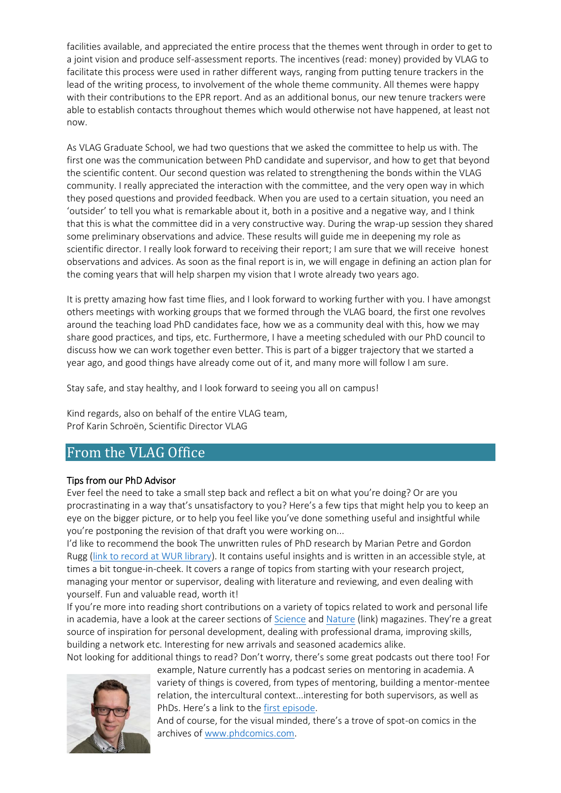facilities available, and appreciated the entire process that the themes went through in order to get to a joint vision and produce self-assessment reports. The incentives (read: money) provided by VLAG to facilitate this process were used in rather different ways, ranging from putting tenure trackers in the lead of the writing process, to involvement of the whole theme community. All themes were happy with their contributions to the EPR report. And as an additional bonus, our new tenure trackers were able to establish contacts throughout themes which would otherwise not have happened, at least not now.

As VLAG Graduate School, we had two questions that we asked the committee to help us with. The first one was the communication between PhD candidate and supervisor, and how to get that beyond the scientific content. Our second question was related to strengthening the bonds within the VLAG community. I really appreciated the interaction with the committee, and the very open way in which they posed questions and provided feedback. When you are used to a certain situation, you need an 'outsider' to tell you what is remarkable about it, both in a positive and a negative way, and I think that this is what the committee did in a very constructive way. During the wrap-up session they shared some preliminary observations and advice. These results will guide me in deepening my role as scientific director. I really look forward to receiving their report; I am sure that we will receive honest observations and advices. As soon as the final report is in, we will engage in defining an action plan for the coming years that will help sharpen my vision that I wrote already two years ago.

It is pretty amazing how fast time flies, and I look forward to working further with you. I have amongst others meetings with working groups that we formed through the VLAG board, the first one revolves around the teaching load PhD candidates face, how we as a community deal with this, how we may share good practices, and tips, etc. Furthermore, I have a meeting scheduled with our PhD council to discuss how we can work together even better. This is part of a bigger trajectory that we started a year ago, and good things have already come out of it, and many more will follow I am sure.

Stay safe, and stay healthy, and I look forward to seeing you all on campus!

Kind regards, also on behalf of the entire VLAG team, Prof Karin Schroën, Scientific Director VLAG

## <span id="page-1-0"></span>From the VLAG Office

## Tips from our PhD Advisor

Ever feel the need to take a small step back and reflect a bit on what you're doing? Or are you procrastinating in a way that's unsatisfactory to you? Here's a few tips that might help you to keep an eye on the bigger picture, or to help you feel like you've done something useful and insightful while you're postponing the revision of that draft you were working on...

I'd like to recommend the book The unwritten rules of PhD research by Marian Petre and Gordon Rugg [\(link to record at WUR library\)](https://wur.on.worldcat.org/v2/oclc/764542535). It contains useful insights and is written in an accessible style, at times a bit tongue-in-cheek. It covers a range of topics from starting with your research project, managing your mentor or supervisor, dealing with literature and reviewing, and even dealing with yourself. Fun and valuable read, worth it!

If you're more into reading short contributions on a variety of topics related to work and personal life in academia, have a look at the career sections of [Science](https://www.science.org/careers/articles) and [Nature](https://www.nature.com/careers) (link) magazines. They're a great source of inspiration for personal development, dealing with professional drama, improving skills, building a network etc. Interesting for new arrivals and seasoned academics alike.



Not looking for additional things to read? Don't worry, there's some great podcasts out there too! For

example, Nature currently has a podcast series on mentoring in academia. A variety of things is covered, from types of mentoring, building a mentor-mentee relation, the intercultural context...interesting for both supervisors, as well as PhDs. Here's a link to the [first episode.](https://www.nature.com/articles/d41586-021-02440-7)

And of course, for the visual minded, there's a trove of spot-on comics in the archives of [www.phdcomics.com.](http://www.phdcomics.com/)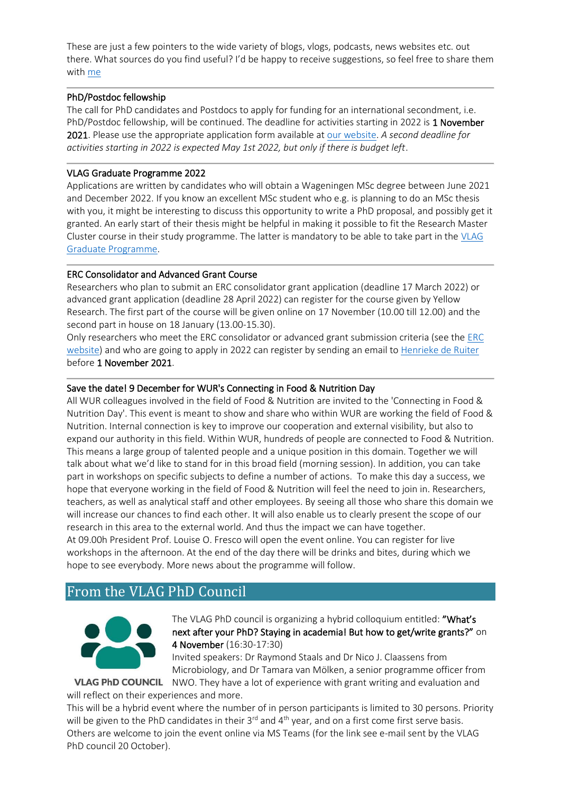These are just a few pointers to the wide variety of blogs, vlogs, podcasts, news websites etc. out there. What sources do you find useful? I'd be happy to receive suggestions, so feel free to share them with [me](mailto:jochem.jonkman@wur.nl)

### PhD/Postdoc fellowship

The call for PhD candidates and Postdocs to apply for funding for an international secondment, i.e. PhD/Postdoc fellowship, will be continued. The deadline for activities starting in 2022 is 1 November 2021. Please use the appropriate application form available at [our website.](https://www.vlaggraduateschool.nl/en/research-1/VLAG-Calls.htm) *A second deadline for activities starting in 2022 is expected May 1st 2022, but only if there is budget left*.

### VLAG Graduate Programme 2022

Applications are written by candidates who will obtain a Wageningen MSc degree between June 2021 and December 2022. If you know an excellent MSc student who e.g. is planning to do an MSc thesis with you, it might be interesting to discuss this opportunity to write a PhD proposal, and possibly get it granted. An early start of their thesis might be helpful in making it possible to fit the Research Master Cluster course in their study programme. The latter is mandatory to be able to take part in the [VLAG](https://www.vlaggraduateschool.nl/en/research-1/VLAG-Calls.htm)  [Graduate Programme.](https://www.vlaggraduateschool.nl/en/research-1/VLAG-Calls.htm)

### ERC Consolidator and Advanced Grant Course

Researchers who plan to submit an ERC consolidator grant application (deadline 17 March 2022) or advanced grant application (deadline 28 April 2022) can register for the course given by Yellow Research. The first part of the course will be given online on 17 November (10.00 till 12.00) and the second part in house on 18 January (13.00-15.30).

Only researchers who meet the ERC consolidator or advanced grant submission criteria (see the [ERC](https://erc.europa.eu/)  [website\)](https://erc.europa.eu/) and who are going to apply in 2022 can register by sending an email t[o Henrieke de Ruiter](mailto:henrieke.deruiter@wur.nl) before 1 November 2021.

## Save the date! 9 December for WUR's Connecting in Food & Nutrition Day

All WUR colleagues involved in the field of Food & Nutrition are invited to the 'Connecting in Food & Nutrition Day'. This event is meant to show and share who within WUR are working the field of Food & Nutrition. Internal connection is key to improve our cooperation and external visibility, but also to expand our authority in this field. Within WUR, hundreds of people are connected to Food & Nutrition. This means a large group of talented people and a unique position in this domain. Together we will talk about what we'd like to stand for in this broad field (morning session). In addition, you can take part in workshops on specific subjects to define a number of actions. To make this day a success, we hope that everyone working in the field of Food & Nutrition will feel the need to join in. Researchers, teachers, as well as analytical staff and other employees. By seeing all those who share this domain we will increase our chances to find each other. It will also enable us to clearly present the scope of our research in this area to the external world. And thus the impact we can have together. At 09.00h President Prof. Louise O. Fresco will open the event online. You can register for live workshops in the afternoon. At the end of the day there will be drinks and bites, during which we hope to see everybody. More news about the programme will follow.

## <span id="page-2-0"></span>From the VLAG PhD Council



The VLAG PhD council is organizing a hybrid colloquium entitled: "What's next after your PhD? Staying in academia! But how to get/write grants?" on 4 November (16:30-17:30)

Invited speakers: Dr Raymond Staals and Dr Nico J. Claassens from Microbiology, and Dr Tamara van Mölken, a senior programme officer from VLAG PhD COUNCIL NWO. They have a lot of experience with grant writing and evaluation and

will reflect on their experiences and more.

This will be a hybrid event where the number of in person participants is limited to 30 persons. Priority will be given to the PhD candidates in their 3<sup>rd</sup> and 4<sup>th</sup> year, and on a first come first serve basis. Others are welcome to join the event online via MS Teams (for the link see e-mail sent by the VLAG PhD council 20 October).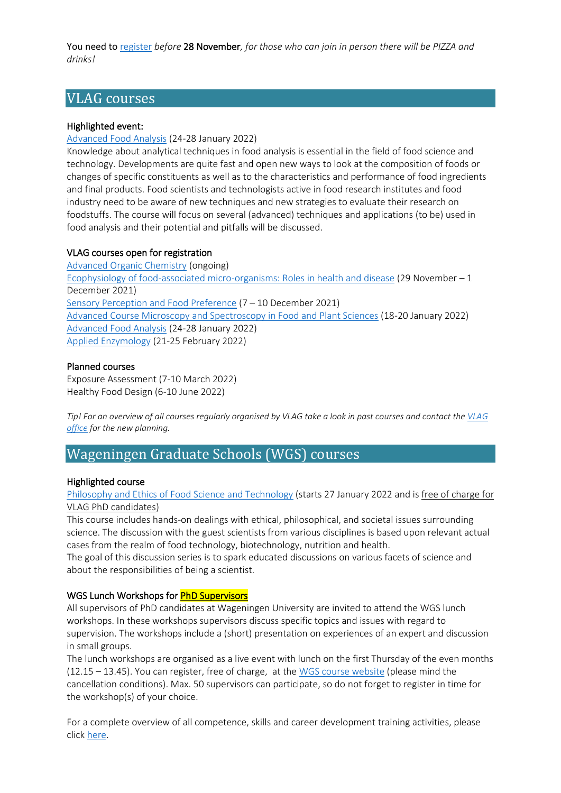You need to [register](https://docs.google.com/forms/d/e/1FAIpQLSdBMhteEDZTv4ANlEhzp0vqJJOCkG6qVyET5A7E8Ay84YERtA/viewform) *before* 28 November*, for those who can join in person there will be PIZZA and drinks!*

## <span id="page-3-0"></span>VLAG courses

## Highlighted event:

### [Advanced Food Analysis](https://www.vlaggraduateschool.nl/en/courses/course/AFA22.htm) (24-28 January 2022)

Knowledge about analytical techniques in food analysis is essential in the field of food science and technology. Developments are quite fast and open new ways to look at the composition of foods or changes of specific constituents as well as to the characteristics and performance of food ingredients and final products. Food scientists and technologists active in food research institutes and food industry need to be aware of new techniques and new strategies to evaluate their research on foodstuffs. The course will focus on several (advanced) techniques and applications (to be) used in food analysis and their potential and pitfalls will be discussed.

#### VLAG courses open for registration

[Advanced Organic Chemistry](https://www.vlaggraduateschool.nl/en/courses/course/AOC21-22.htm#tab1) (ongoing) [Ecophysiology of food-associated micro-organisms: Roles in health and disease](https://www.vlaggraduateschool.nl/en/courses/course/Eco21.htm) (29 November – 1 December 2021) [Sensory Perception and Food Preference](https://www.vlaggraduateschool.nl/en/courses/course/SENS21.htm) (7 – 10 December 2021) [Advanced Course Microscopy and Spectroscopy in Food and Plant Sciences](https://www.vlaggraduateschool.nl/en/courses/course/Microscopy-and-Spectroscopy-in-Food-and-Plant-Sciences22.htm) (18-20 January 2022) [Advanced Food Analysis](https://www.vlaggraduateschool.nl/en/courses/course/AFA22.htm) (24-28 January 2022) [Applied Enzymology](https://www.vlaggraduateschool.nl/en/courses/course/AE22.htm) (21-25 February 2022)

#### Planned courses

Exposure Assessment (7-10 March 2022) Healthy Food Design (6-10 June 2022)

*Tip! For an overview of all courses regularly organised by VLAG take a look in past courses and contact the [VLAG](mailto:vlag@wur.nl)  [office](mailto:vlag@wur.nl) for the new planning.*

## <span id="page-3-1"></span>Wageningen Graduate Schools (WGS) courses

#### Highlighted course

### [Philosophy and Ethics of Food Science and Technology](https://wgs.crs.wur.nl/courses/details/77/) (starts 27 January 2022 and is free of charge for VLAG PhD candidates)

This course includes hands-on dealings with ethical, philosophical, and societal issues surrounding science. The discussion with the guest scientists from various disciplines is based upon relevant actual cases from the realm of food technology, biotechnology, nutrition and health.

The goal of this discussion series is to spark educated discussions on various facets of science and about the responsibilities of being a scientist.

### WGS Lunch Workshops for **PhD Supervisors**

All supervisors of PhD candidates at Wageningen University are invited to attend the WGS lunch workshops. In these workshops supervisors discuss specific topics and issues with regard to supervision. The workshops include a (short) presentation on experiences of an expert and discussion in small groups.

The lunch workshops are organised as a live event with lunch on the first Thursday of the even months (12.15 – 13.45). You can register, free of charge, at the [WGS course website](https://wgs.crs.wur.nl/courses/details/504) (please mind the cancellation conditions). Max. 50 supervisors can participate, so do not forget to register in time for the workshop(s) of your choice.

For a complete overview of all competence, skills and career development training activities, please click [here.](https://eur03.safelinks.protection.outlook.com/?url=https%3A%2F%2Fwgs.crs.wur.nl%2F&data=04%7C01%7Cvlag%40wur.nl%7C8801fdaec24248612fb708d8dfd6fb8e%7C27d137e5761f4dc1af88d26430abb18f%7C0%7C0%7C637505461792122326%7CUnknown%7CTWFpbGZsb3d8eyJWIjoiMC4wLjAwMDAiLCJQIjoiV2luMzIiLCJBTiI6Ik1haWwiLCJXVCI6Mn0%3D%7C1000&sdata=hnF2puwRqZB3G4BfugCi%2BOBY%2Bc%2FUBPwmM9hvhAgqzNc%3D&reserved=0)